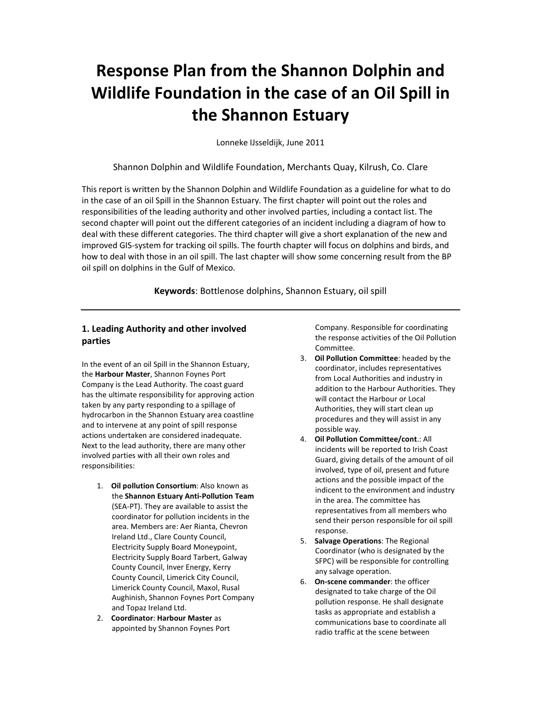# Response Plan from the Shannon Dolphin and Wildlife Foundation in the case of an Oil Spill in the Shannon Estuary

Lonneke IJsseldijk, June 2011

Shannon Dolphin and Wildlife Foundation, Merchants Quay, Kilrush, Co. Clare

This report is written by the Shannon Dolphin and Wildlife Foundation as a guideline for what to do in the case of an oil Spill in the Shannon Estuary. The first chapter will point out the roles and responsibilities of the leading authority and other involved parties, including a contact list. The second chapter will point out the different categories of an incident including a diagram of how to deal with these different categories. The third chapter will give a short explanation of the new and improved GIS-system for tracking oil spills. The fourth chapter will focus on dolphins and birds, and how to deal with those in an oil spill. The last chapter will show some concerning result from the BP oil spill on dolphins in the Gulf of Mexico.

Keywords: Bottlenose dolphins, Shannon Estuary, oil spill

# 1. Leading Authority and other involved parties

In the event of an oil Spill in the Shannon Estuary, the Harbour Master, Shannon Foynes Port Company is the Lead Authority. The coast guard has the ultimate responsibility for approving action taken by any party responding to a spillage of hydrocarbon in the Shannon Estuary area coastline and to intervene at any point of spill response actions undertaken are considered inadequate. Next to the lead authority, there are many other involved parties with all their own roles and responsibilities:

- 1. Oil pollution Consortium: Also known as the Shannon Estuary Anti-Pollution Team (SEA-PT). They are available to assist the coordinator for pollution incidents in the area. Members are: Aer Rianta, Chevron Ireland Ltd., Clare County Council, Electricity Supply Board Moneypoint, Electricity Supply Board Tarbert, Galway County Council, Inver Energy, Kerry County Council, Limerick City Council, Limerick County Council, Maxol, Rusal Aughinish, Shannon Foynes Port Company and Topaz Ireland Ltd.
- 2. Coordinator: Harbour Master as appointed by Shannon Foynes Port

Company. Responsible for coordinating the response activities of the Oil Pollution Committee.

- 3. Oil Pollution Committee: headed by the coordinator, includes representatives from Local Authorities and industry in addition to the Harbour Authorities. They will contact the Harbour or Local Authorities, they will start clean up procedures and they will assist in any possible way.
- 4. Oil Pollution Committee/cont.: All incidents will be reported to Irish Coast Guard, giving details of the amount of oil involved, type of oil, present and future actions and the possible impact of the indicent to the environment and industry in the area. The committee has representatives from all members who send their person responsible for oil spill response.
- 5. Salvage Operations: The Regional Coordinator (who is designated by the SFPC) will be responsible for controlling any salvage operation.
- 6. On-scene commander: the officer designated to take charge of the Oil pollution response. He shall designate tasks as appropriate and establish a communications base to coordinate all radio traffic at the scene between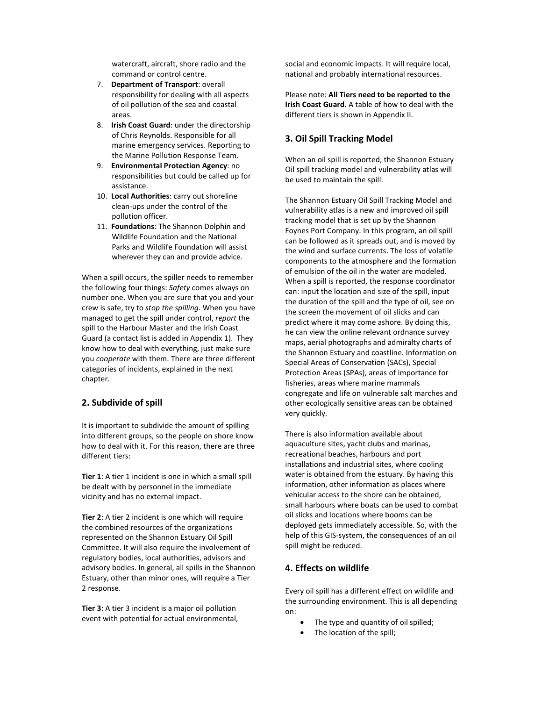watercraft, aircraft, shore radio and the command or control centre.

- 7. Department of Transport: overall responsibility for dealing with all aspects of oil pollution of the sea and coastal areas.
- 8. Irish Coast Guard: under the directorship of Chris Reynolds. Responsible for all marine emergency services. Reporting to the Marine Pollution Response Team.
- 9. Environmental Protection Agency: no responsibilities but could be called up for assistance.
- 10. Local Authorities: carry out shoreline clean-ups under the control of the pollution officer.
- 11. Foundations: The Shannon Dolphin and Wildlife Foundation and the National Parks and Wildlife Foundation will assist wherever they can and provide advice.

When a spill occurs, the spiller needs to remember the following four things: Safety comes always on number one. When you are sure that you and your crew is safe, try to stop the spilling. When you have managed to get the spill under control, report the spill to the Harbour Master and the Irish Coast Guard (a contact list is added in Appendix 1). They know how to deal with everything, just make sure you cooperate with them. There are three different categories of incidents, explained in the next chapter.

## 2. Subdivide of spill

It is important to subdivide the amount of spilling into different groups, so the people on shore know how to deal with it. For this reason, there are three different tiers:

Tier 1: A tier 1 incident is one in which a small spill be dealt with by personnel in the immediate vicinity and has no external impact.

Tier 2: A tier 2 incident is one which will require the combined resources of the organizations represented on the Shannon Estuary Oil Spill Committee. It will also require the involvement of regulatory bodies, local authorities, advisors and advisory bodies. In general, all spills in the Shannon Estuary, other than minor ones, will require a Tier 2 response.

Tier 3: A tier 3 incident is a major oil pollution event with potential for actual environmental, social and economic impacts. It will require local, national and probably international resources.

Please note: All Tiers need to be reported to the Irish Coast Guard. A table of how to deal with the different tiers is shown in Appendix II.

# 3. Oil Spill Tracking Model

When an oil spill is reported, the Shannon Estuary Oil spill tracking model and vulnerability atlas will be used to maintain the spill.

The Shannon Estuary Oil Spill Tracking Model and vulnerability atlas is a new and improved oil spill tracking model that is set up by the Shannon Foynes Port Company. In this program, an oil spill can be followed as it spreads out, and is moved by the wind and surface currents. The loss of volatile components to the atmosphere and the formation of emulsion of the oil in the water are modeled. When a spill is reported, the response coordinator can: input the location and size of the spill, input the duration of the spill and the type of oil, see on the screen the movement of oil slicks and can predict where it may come ashore. By doing this, he can view the online relevant ordnance survey maps, aerial photographs and admiralty charts of the Shannon Estuary and coastline. Information on Special Areas of Conservation (SACs), Special Protection Areas (SPAs), areas of importance for fisheries, areas where marine mammals congregate and life on vulnerable salt marches and other ecologically sensitive areas can be obtained very quickly.

There is also information available about aquaculture sites, yacht clubs and marinas, recreational beaches, harbours and port installations and industrial sites, where cooling water is obtained from the estuary. By having this information, other information as places where vehicular access to the shore can be obtained, small harbours where boats can be used to combat oil slicks and locations where booms can be deployed gets immediately accessible. So, with the help of this GIS-system, the consequences of an oil spill might be reduced.

## 4. Effects on wildlife

Every oil spill has a different effect on wildlife and the surrounding environment. This is all depending on:

- The type and quantity of oil spilled;
- The location of the spill;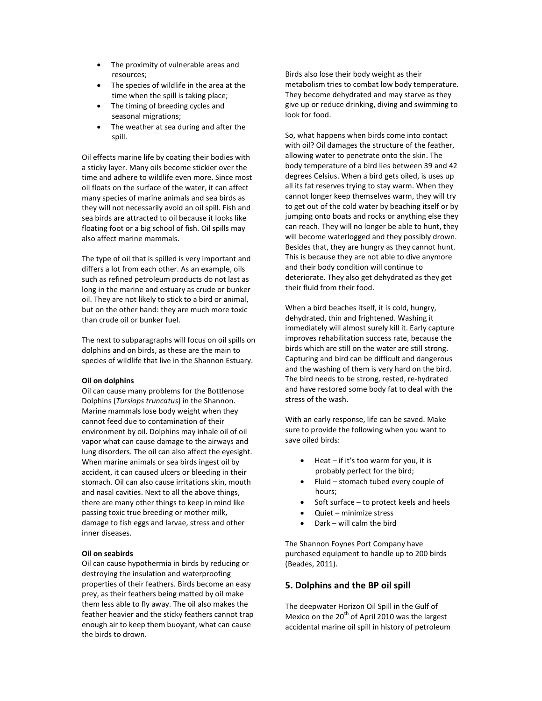- The proximity of vulnerable areas and resources;
- The species of wildlife in the area at the time when the spill is taking place;
- The timing of breeding cycles and seasonal migrations;
- The weather at sea during and after the spill.

Oil effects marine life by coating their bodies with a sticky layer. Many oils become stickier over the time and adhere to wildlife even more. Since most oil floats on the surface of the water, it can affect many species of marine animals and sea birds as they will not necessarily avoid an oil spill. Fish and sea birds are attracted to oil because it looks like floating foot or a big school of fish. Oil spills may also affect marine mammals.

The type of oil that is spilled is very important and differs a lot from each other. As an example, oils such as refined petroleum products do not last as long in the marine and estuary as crude or bunker oil. They are not likely to stick to a bird or animal, but on the other hand: they are much more toxic than crude oil or bunker fuel.

The next to subparagraphs will focus on oil spills on dolphins and on birds, as these are the main to species of wildlife that live in the Shannon Estuary.

#### Oil on dolphins

Oil can cause many problems for the Bottlenose Dolphins (Tursiops truncatus) in the Shannon. Marine mammals lose body weight when they cannot feed due to contamination of their environment by oil. Dolphins may inhale oil of oil vapor what can cause damage to the airways and lung disorders. The oil can also affect the eyesight. When marine animals or sea birds ingest oil by accident, it can caused ulcers or bleeding in their stomach. Oil can also cause irritations skin, mouth and nasal cavities. Next to all the above things, there are many other things to keep in mind like passing toxic true breeding or mother milk, damage to fish eggs and larvae, stress and other inner diseases.

#### Oil on seabirds

Oil can cause hypothermia in birds by reducing or destroying the insulation and waterproofing properties of their feathers. Birds become an easy prey, as their feathers being matted by oil make them less able to fly away. The oil also makes the feather heavier and the sticky feathers cannot trap enough air to keep them buoyant, what can cause the birds to drown.

Birds also lose their body weight as their metabolism tries to combat low body temperature. They become dehydrated and may starve as they give up or reduce drinking, diving and swimming to look for food.

So, what happens when birds come into contact with oil? Oil damages the structure of the feather, allowing water to penetrate onto the skin. The body temperature of a bird lies between 39 and 42 degrees Celsius. When a bird gets oiled, is uses up all its fat reserves trying to stay warm. When they cannot longer keep themselves warm, they will try to get out of the cold water by beaching itself or by jumping onto boats and rocks or anything else they can reach. They will no longer be able to hunt, they will become waterlogged and they possibly drown. Besides that, they are hungry as they cannot hunt. This is because they are not able to dive anymore and their body condition will continue to deteriorate. They also get dehydrated as they get their fluid from their food.

When a bird beaches itself, it is cold, hungry, dehydrated, thin and frightened. Washing it immediately will almost surely kill it. Early capture improves rehabilitation success rate, because the birds which are still on the water are still strong. Capturing and bird can be difficult and dangerous and the washing of them is very hard on the bird. The bird needs to be strong, rested, re-hydrated and have restored some body fat to deal with the stress of the wash.

With an early response, life can be saved. Make sure to provide the following when you want to save oiled birds:

- Heat if it's too warm for you, it is probably perfect for the bird;
- Fluid stomach tubed every couple of hours;
- Soft surface to protect keels and heels
- Quiet minimize stress
- Dark will calm the bird

The Shannon Foynes Port Company have purchased equipment to handle up to 200 birds (Beades, 2011).

#### 5. Dolphins and the BP oil spill

The deepwater Horizon Oil Spill in the Gulf of Mexico on the  $20<sup>th</sup>$  of April 2010 was the largest accidental marine oil spill in history of petroleum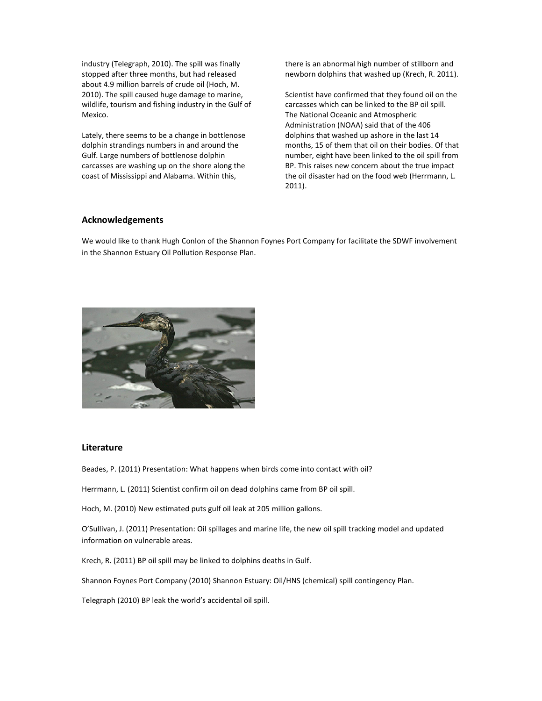industry (Telegraph, 2010). The spill was finally stopped after three months, but had released about 4.9 million barrels of crude oil (Hoch, M. 2010). The spill caused huge damage to marine, wildlife, tourism and fishing industry in the Gulf of Mexico.

Lately, there seems to be a change in bottlenose dolphin strandings numbers in and around the Gulf. Large numbers of bottlenose dolphin carcasses are washing up on the shore along the coast of Mississippi and Alabama. Within this,

there is an abnormal high number of stillborn and newborn dolphins that washed up (Krech, R. 2011).

Scientist have confirmed that they found oil on the carcasses which can be linked to the BP oil spill. The National Oceanic and Atmospheric Administration (NOAA) said that of the 406 dolphins that washed up ashore in the last 14 months, 15 of them that oil on their bodies. Of that number, eight have been linked to the oil spill from BP. This raises new concern about the true impact the oil disaster had on the food web (Herrmann, L. 2011).

### Acknowledgements

We would like to thank Hugh Conlon of the Shannon Foynes Port Company for facilitate the SDWF involvement in the Shannon Estuary Oil Pollution Response Plan.



# Literature

Beades, P. (2011) Presentation: What happens when birds come into contact with oil?

Herrmann, L. (2011) Scientist confirm oil on dead dolphins came from BP oil spill.

Hoch, M. (2010) New estimated puts gulf oil leak at 205 million gallons.

O'Sullivan, J. (2011) Presentation: Oil spillages and marine life, the new oil spill tracking model and updated information on vulnerable areas.

Krech, R. (2011) BP oil spill may be linked to dolphins deaths in Gulf.

Shannon Foynes Port Company (2010) Shannon Estuary: Oil/HNS (chemical) spill contingency Plan.

Telegraph (2010) BP leak the world's accidental oil spill.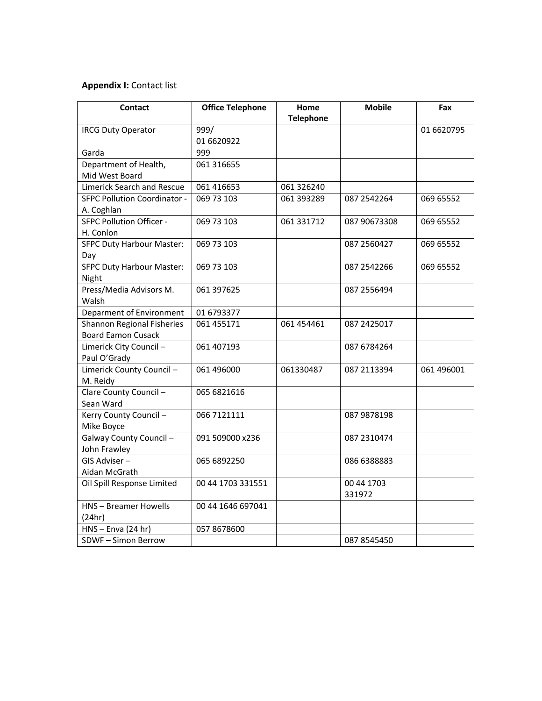# Appendix I: Contact list

| <b>Contact</b>                      | <b>Office Telephone</b> | Home<br><b>Telephone</b> | <b>Mobile</b> | Fax        |
|-------------------------------------|-------------------------|--------------------------|---------------|------------|
| <b>IRCG Duty Operator</b>           | 999/                    |                          |               | 01 6620795 |
|                                     | 01 6620922              |                          |               |            |
| Garda                               | 999                     |                          |               |            |
| Department of Health,               | 061 31 6655             |                          |               |            |
| Mid West Board                      |                         |                          |               |            |
| <b>Limerick Search and Rescue</b>   | 061 416653              | 061 326240               |               |            |
| <b>SFPC Pollution Coordinator -</b> | 069 73 103              | 061 393289               | 087 2542264   | 069 65552  |
| A. Coghlan                          |                         |                          |               |            |
| <b>SFPC Pollution Officer -</b>     | 069 73 103              | 061 331712               | 087 90673308  | 069 65552  |
| H. Conlon                           |                         |                          |               |            |
| <b>SFPC Duty Harbour Master:</b>    | 069 73 103              |                          | 087 2560427   | 069 65552  |
| Day                                 |                         |                          |               |            |
| <b>SFPC Duty Harbour Master:</b>    | 069 73 103              |                          | 087 2542266   | 069 65552  |
| Night                               |                         |                          |               |            |
| Press/Media Advisors M.             | 061 397625              |                          | 087 2556494   |            |
| Walsh                               |                         |                          |               |            |
| Deparment of Environment            | 01 6793377              |                          |               |            |
| Shannon Regional Fisheries          | 061 455171              | 061 454 461              | 087 2425017   |            |
| <b>Board Eamon Cusack</b>           |                         |                          |               |            |
| Limerick City Council-              | 061 407193              |                          | 087 6784264   |            |
| Paul O'Grady                        |                         |                          |               |            |
| Limerick County Council-            | 061 496000              | 061330487                | 087 2113394   | 061 496001 |
| M. Reidy                            |                         |                          |               |            |
| Clare County Council -              | 065 6821616             |                          |               |            |
| Sean Ward                           |                         |                          |               |            |
| Kerry County Council-               | 066 7121111             |                          | 087 9878198   |            |
| Mike Boyce                          |                         |                          |               |            |
| Galway County Council-              | 091 509000 x236         |                          | 087 2310474   |            |
| John Frawley                        |                         |                          |               |            |
| GIS Adviser-                        | 065 6892250             |                          | 086 6388883   |            |
| Aidan McGrath                       |                         |                          |               |            |
| Oil Spill Response Limited          | 00 44 1703 331551       |                          | 00 44 1703    |            |
|                                     |                         |                          | 331972        |            |
| <b>HNS-Breamer Howells</b>          | 00 44 1646 697041       |                          |               |            |
| (24hr)                              |                         |                          |               |            |
| $HNS - Enva (24 hr)$                | 057 8678600             |                          |               |            |
| SDWF-Simon Berrow                   |                         |                          | 087 8545450   |            |